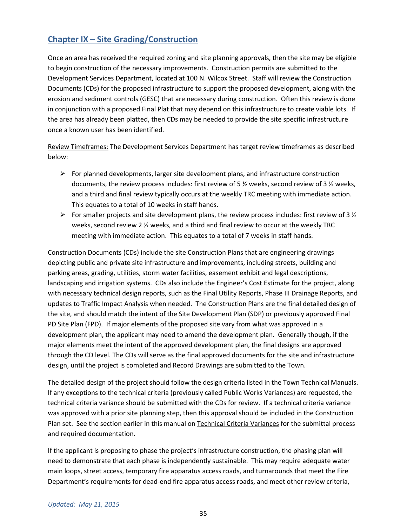# **Chapter IX – Site Grading/Construction**

Once an area has received the required zoning and site planning approvals, then the site may be eligible to begin construction of the necessary improvements. Construction permits are submitted to the Development Services Department, located at 100 N. Wilcox Street. Staff will review the Construction Documents (CDs) for the proposed infrastructure to support the proposed development, along with the erosion and sediment controls (GESC) that are necessary during construction. Often this review is done in conjunction with a proposed Final Plat that may depend on this infrastructure to create viable lots. If the area has already been platted, then CDs may be needed to provide the site specific infrastructure once a known user has been identified.

Review Timeframes: The Development Services Department has target review timeframes as described below:

- $\triangleright$  For planned developments, larger site development plans, and infrastructure construction documents, the review process includes: first review of 5 ½ weeks, second review of 3 ½ weeks, and a third and final review typically occurs at the weekly TRC meeting with immediate action. This equates to a total of 10 weeks in staff hands.
- For smaller projects and site development plans, the review process includes: first review of 3  $\frac{1}{2}$ weeks, second review 2 ½ weeks, and a third and final review to occur at the weekly TRC meeting with immediate action. This equates to a total of 7 weeks in staff hands.

Construction Documents (CDs) include the site Construction Plans that are engineering drawings depicting public and private site infrastructure and improvements, including streets, building and parking areas, grading, utilities, storm water facilities, easement exhibit and legal descriptions, landscaping and irrigation systems. CDs also include the Engineer's Cost Estimate for the project, along with necessary technical design reports, such as the Final Utility Reports, Phase III Drainage Reports, and updates to Traffic Impact Analysis when needed. The Construction Plans are the final detailed design of the site, and should match the intent of the Site Development Plan (SDP) or previously approved Final PD Site Plan (FPD). If major elements of the proposed site vary from what was approved in a development plan, the applicant may need to amend the development plan. Generally though, if the major elements meet the intent of the approved development plan, the final designs are approved through the CD level. The CDs will serve as the final approved documents for the site and infrastructure design, until the project is completed and Record Drawings are submitted to the Town.

The detailed design of the project should follow the design criteria listed in the Town Technical Manuals. If any exceptions to the technical criteria (previously called Public Works Variances) are requested, the technical criteria variance should be submitted with the CDs for review. If a technical criteria variance was approved with a prior site planning step, then this approval should be included in the Construction Plan set. See the section earlier in this manual on Technical Criteria Variances for the submittal process and required documentation.

If the applicant is proposing to phase the project's infrastructure construction, the phasing plan will need to demonstrate that each phase is independently sustainable. This may require adequate water main loops, street access, temporary fire apparatus access roads, and turnarounds that meet the Fire Department's requirements for dead-end fire apparatus access roads, and meet other review criteria,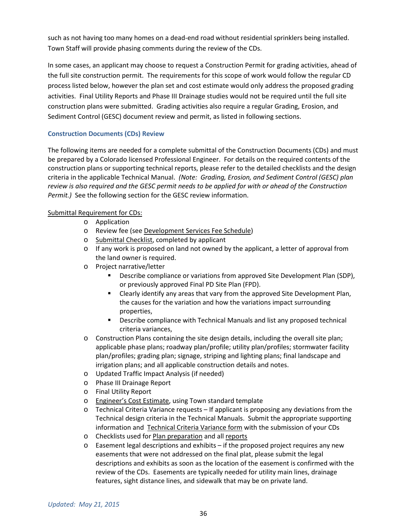such as not having too many homes on a dead-end road without residential sprinklers being installed. Town Staff will provide phasing comments during the review of the CDs.

In some cases, an applicant may choose to request a Construction Permit for grading activities, ahead of the full site construction permit. The requirements for this scope of work would follow the regular CD process listed below, however the plan set and cost estimate would only address the proposed grading activities. Final Utility Reports and Phase III Drainage studies would not be required until the full site construction plans were submitted. Grading activities also require a regular Grading, Erosion, and Sediment Control (GESC) document review and permit, as listed in following sections.

## **Construction Documents (CDs) Review**

The following items are needed for a complete submittal of the Construction Documents (CDs) and must be prepared by a Colorado licensed Professional Engineer. For details on the required contents of the construction plans or supporting technical reports, please refer to the detailed checklists and the design criteria in the applicable Technical Manual. *(Note: Grading, Erosion, and Sediment Control (GESC) plan review is also required and the GESC permit needs to be applied for with or ahead of the Construction Permit.)* See the following section for the GESC review information.

## Submittal Requirement for CDs:

- o Application
- o Review fee (see Development Services Fee Schedule)
- o Submittal Checklist, completed by applicant
- $\circ$  If any work is proposed on land not owned by the applicant, a letter of approval from the land owner is required.
- o Project narrative/letter
	- Describe compliance or variations from approved Site Development Plan (SDP), or previously approved Final PD Site Plan (FPD).
	- Clearly identify any areas that vary from the approved Site Development Plan, the causes for the variation and how the variations impact surrounding properties,
	- Describe compliance with Technical Manuals and list any proposed technical criteria variances,
- o Construction Plans containing the site design details, including the overall site plan; applicable phase plans; roadway plan/profile; utility plan/profiles; stormwater facility plan/profiles; grading plan; signage, striping and lighting plans; final landscape and irrigation plans; and all applicable construction details and notes.
- o Updated Traffic Impact Analysis (if needed)
- o Phase III Drainage Report
- o Final Utility Report
- o Engineer's Cost Estimate, using Town standard template
- o Technical Criteria Variance requests If applicant is proposing any deviations from the Technical design criteria in the Technical Manuals. Submit the appropriate supporting information and Technical Criteria Variance form with the submission of your CDs
- o Checklists used for Plan preparation and all reports
- $\circ$  Easement legal descriptions and exhibits if the proposed project requires any new easements that were not addressed on the final plat, please submit the legal descriptions and exhibits as soon as the location of the easement is confirmed with the review of the CDs. Easements are typically needed for utility main lines, drainage features, sight distance lines, and sidewalk that may be on private land.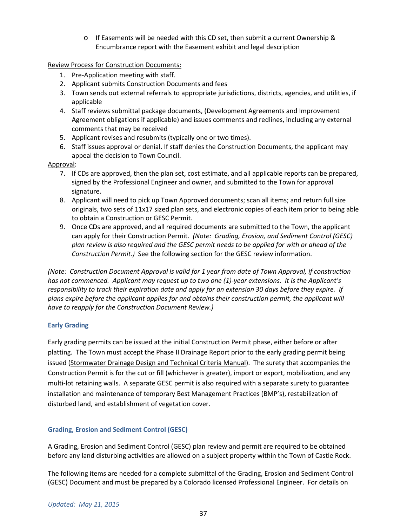o If Easements will be needed with this CD set, then submit a current Ownership & Encumbrance report with the Easement exhibit and legal description

Review Process for Construction Documents:

- 1. Pre-Application meeting with staff.
- 2. Applicant submits Construction Documents and fees
- 3. Town sends out external referrals to appropriate jurisdictions, districts, agencies, and utilities, if applicable
- 4. Staff reviews submittal package documents, (Development Agreements and Improvement Agreement obligations if applicable) and issues comments and redlines, including any external comments that may be received
- 5. Applicant revises and resubmits (typically one or two times).
- 6. Staff issues approval or denial. If staff denies the Construction Documents, the applicant may appeal the decision to Town Council.

## Approval:

- 7. If CDs are approved, then the plan set, cost estimate, and all applicable reports can be prepared, signed by the Professional Engineer and owner, and submitted to the Town for approval signature.
- 8. Applicant will need to pick up Town Approved documents; scan all items; and return full size originals, two sets of 11x17 sized plan sets, and electronic copies of each item prior to being able to obtain a Construction or GESC Permit.
- 9. Once CDs are approved, and all required documents are submitted to the Town, the applicant can apply for their Construction Permit. *(Note: Grading, Erosion, and Sediment Control (GESC) plan review is also required and the GESC permit needs to be applied for with or ahead of the Construction Permit.)* See the following section for the GESC review information.

*(Note: Construction Document Approval is valid for 1 year from date of Town Approval, if construction has not commenced. Applicant may request up to two one (1)-year extensions. It is the Applicant's responsibility to track their expiration date and apply for an extension 30 days before they expire. If plans expire before the applicant applies for and obtains their construction permit, the applicant will have to reapply for the Construction Document Review.)*

## **Early Grading**

Early grading permits can be issued at the initial Construction Permit phase, either before or after platting. The Town must accept the Phase II Drainage Report prior to the early grading permit being issued (Stormwater Drainage Design and Technical Criteria Manual). The surety that accompanies the Construction Permit is for the cut or fill (whichever is greater), import or export, mobilization, and any multi-lot retaining walls. A separate GESC permit is also required with a separate surety to guarantee installation and maintenance of temporary Best Management Practices (BMP's), restabilization of disturbed land, and establishment of vegetation cover.

## **Grading, Erosion and Sediment Control (GESC)**

A Grading, Erosion and Sediment Control (GESC) plan review and permit are required to be obtained before any land disturbing activities are allowed on a subject property within the Town of Castle Rock.

The following items are needed for a complete submittal of the Grading, Erosion and Sediment Control (GESC) Document and must be prepared by a Colorado licensed Professional Engineer. For details on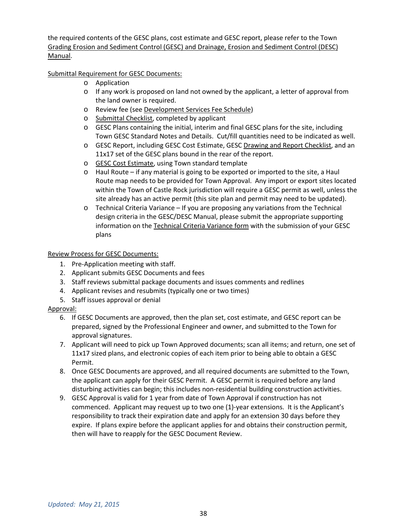the required contents of the GESC plans, cost estimate and GESC report, please refer to the Town Grading Erosion and Sediment Control (GESC) and Drainage, Erosion and Sediment Control (DESC) Manual.

Submittal Requirement for GESC Documents:

- o Application
- o If any work is proposed on land not owned by the applicant, a letter of approval from the land owner is required.
- o Review fee (see Development Services Fee Schedule)
- o Submittal Checklist, completed by applicant
- o GESC Plans containing the initial, interim and final GESC plans for the site, including Town GESC Standard Notes and Details. Cut/fill quantities need to be indicated as well.
- o GESC Report, including GESC Cost Estimate, GESC Drawing and Report Checklist, and an 11x17 set of the GESC plans bound in the rear of the report.
- o GESC Cost Estimate, using Town standard template
- o Haul Route if any material is going to be exported or imported to the site, a Haul Route map needs to be provided for Town Approval. Any import or export sites located within the Town of Castle Rock jurisdiction will require a GESC permit as well, unless the site already has an active permit (this site plan and permit may need to be updated).
- o Technical Criteria Variance If you are proposing any variations from the Technical design criteria in the GESC/DESC Manual, please submit the appropriate supporting information on the Technical Criteria Variance form with the submission of your GESC plans

#### Review Process for GESC Documents:

- 1. Pre-Application meeting with staff.
- 2. Applicant submits GESC Documents and fees
- 3. Staff reviews submittal package documents and issues comments and redlines
- 4. Applicant revises and resubmits (typically one or two times)
- 5. Staff issues approval or denial

#### Approval:

- 6. If GESC Documents are approved, then the plan set, cost estimate, and GESC report can be prepared, signed by the Professional Engineer and owner, and submitted to the Town for approval signatures.
- 7. Applicant will need to pick up Town Approved documents; scan all items; and return, one set of 11x17 sized plans, and electronic copies of each item prior to being able to obtain a GESC Permit.
- 8. Once GESC Documents are approved, and all required documents are submitted to the Town, the applicant can apply for their GESC Permit. A GESC permit is required before any land disturbing activities can begin; this includes non-residential building construction activities.
- 9. GESC Approval is valid for 1 year from date of Town Approval if construction has not commenced. Applicant may request up to two one (1)-year extensions. It is the Applicant's responsibility to track their expiration date and apply for an extension 30 days before they expire. If plans expire before the applicant applies for and obtains their construction permit, then will have to reapply for the GESC Document Review.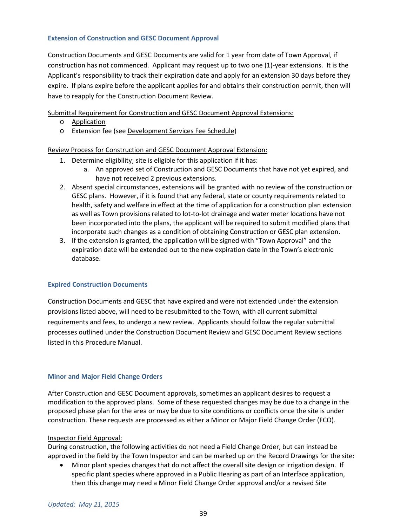#### **Extension of Construction and GESC Document Approval**

Construction Documents and GESC Documents are valid for 1 year from date of Town Approval, if construction has not commenced. Applicant may request up to two one (1)-year extensions. It is the Applicant's responsibility to track their expiration date and apply for an extension 30 days before they expire. If plans expire before the applicant applies for and obtains their construction permit, then will have to reapply for the Construction Document Review.

Submittal Requirement for Construction and GESC Document Approval Extensions:

- o Application
- o Extension fee (see Development Services Fee Schedule)

Review Process for Construction and GESC Document Approval Extension:

- 1. Determine eligibility; site is eligible for this application if it has:
	- a. An approved set of Construction and GESC Documents that have not yet expired, and have not received 2 previous extensions.
- 2. Absent special circumstances, extensions will be granted with no review of the construction or GESC plans. However, if it is found that any federal, state or county requirements related to health, safety and welfare in effect at the time of application for a construction plan extension as well as Town provisions related to lot-to-lot drainage and water meter locations have not been incorporated into the plans, the applicant will be required to submit modified plans that incorporate such changes as a condition of obtaining Construction or GESC plan extension.
- 3. If the extension is granted, the application will be signed with "Town Approval" and the expiration date will be extended out to the new expiration date in the Town's electronic database.

#### **Expired Construction Documents**

Construction Documents and GESC that have expired and were not extended under the extension provisions listed above, will need to be resubmitted to the Town, with all current submittal requirements and fees, to undergo a new review. Applicants should follow the regular submittal processes outlined under the Construction Document Review and GESC Document Review sections listed in this Procedure Manual.

#### **Minor and Major Field Change Orders**

After Construction and GESC Document approvals, sometimes an applicant desires to request a modification to the approved plans. Some of these requested changes may be due to a change in the proposed phase plan for the area or may be due to site conditions or conflicts once the site is under construction. These requests are processed as either a Minor or Major Field Change Order (FCO).

#### Inspector Field Approval:

During construction, the following activities do not need a Field Change Order, but can instead be approved in the field by the Town Inspector and can be marked up on the Record Drawings for the site:

• Minor plant species changes that do not affect the overall site design or irrigation design. If specific plant species where approved in a Public Hearing as part of an Interface application, then this change may need a Minor Field Change Order approval and/or a revised Site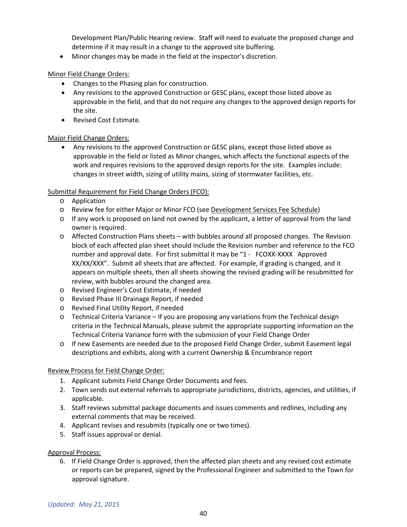Development Plan/Public Hearing review. Staff will need to evaluate the proposed change and determine if it may result in a change to the approved site buffering.

• Minor changes may be made in the field at the inspector's discretion.

Minor Field Change Orders:

- Changes to the Phasing plan for construction.
- Any revisions to the approved Construction or GESC plans, except those listed above as approvable in the field, and that do not require any changes to the approved design reports for the site.
- Revised Cost Estimate.

## Major Field Change Orders:

• Any revisions to the approved Construction or GESC plans, except those listed above as approvable in the field or listed as Minor changes, which affects the functional aspects of the work and requires revisions to the approved design reports for the site. Examples include: changes in street width, sizing of utility mains, sizing of stormwater facilities, etc.

## Submittal Requirement for Field Change Orders (FCO):

- o Application
- o Review fee for either Major or Minor FCO (see Development Services Fee Schedule)
- $\circ$  If any work is proposed on land not owned by the applicant, a letter of approval from the land owner is required.
- o Affected Construction Plans sheets with bubbles around all proposed changes. The Revision block of each affected plan sheet should include the Revision number and reference to the FCO number and approval date. For first submittal it may be "1 - FCOXX-XXXX Approved XX/XX/XXX". Submit all sheets that are affected. For example, if grading is changed, and it appears on multiple sheets, then all sheets showing the revised grading will be resubmitted for review, with bubbles around the changed area.
- o Revised Engineer's Cost Estimate, if needed
- o Revised Phase III Drainage Report, if needed
- o Revised Final Utility Report, if needed
- o Technical Criteria Variance If you are proposing any variations from the Technical design criteria in the Technical Manuals, please submit the appropriate supporting information on the Technical Criteria Variance form with the submission of your Field Change Order
- o If new Easements are needed due to the proposed Field Change Order, submit Easement legal descriptions and exhibits, along with a current Ownership & Encumbrance report

#### Review Process for Field Change Order:

- 1. Applicant submits Field Change Order Documents and fees.
- 2. Town sends out external referrals to appropriate jurisdictions, districts, agencies, and utilities, if applicable.
- 3. Staff reviews submittal package documents and issues comments and redlines, including any external comments that may be received.
- 4. Applicant revises and resubmits (typically one or two times).
- 5. Staff issues approval or denial.

#### Approval Process:

6. If Field Change Order is approved, then the affected plan sheets and any revised cost estimate or reports can be prepared, signed by the Professional Engineer and submitted to the Town for approval signature.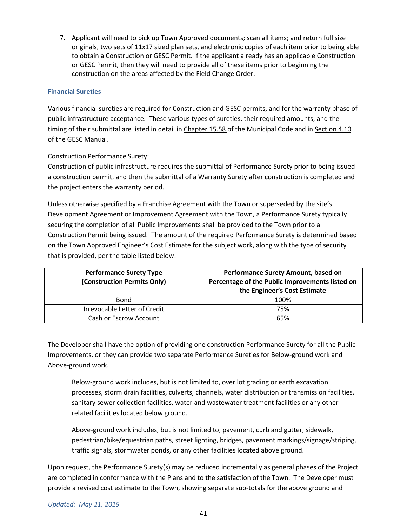7. Applicant will need to pick up Town Approved documents; scan all items; and return full size originals, two sets of 11x17 sized plan sets, and electronic copies of each item prior to being able to obtain a Construction or GESC Permit. If the applicant already has an applicable Construction or GESC Permit, then they will need to provide all of these items prior to beginning the construction on the areas affected by the Field Change Order.

### **Financial Sureties**

Various financial sureties are required for Construction and GESC permits, and for the warranty phase of public infrastructure acceptance. These various types of sureties, their required amounts, and the timing of their submittal are listed in detail in Chapter 15.58 of the Municipal Code and in Section 4.10 of the GESC Manual.

#### Construction Performance Surety:

Construction of public infrastructure requires the submittal of Performance Surety prior to being issued a construction permit, and then the submittal of a Warranty Surety after construction is completed and the project enters the warranty period.

Unless otherwise specified by a Franchise Agreement with the Town or superseded by the site's Development Agreement or Improvement Agreement with the Town, a Performance Surety typically securing the completion of all Public Improvements shall be provided to the Town prior to a Construction Permit being issued. The amount of the required Performance Surety is determined based on the Town Approved Engineer's Cost Estimate for the subject work, along with the type of security that is provided, per the table listed below:

| <b>Performance Surety Type</b><br>(Construction Permits Only) | Performance Surety Amount, based on<br>Percentage of the Public Improvements listed on<br>the Engineer's Cost Estimate |
|---------------------------------------------------------------|------------------------------------------------------------------------------------------------------------------------|
| <b>Bond</b>                                                   | 100%                                                                                                                   |
| Irrevocable Letter of Credit                                  | 75%                                                                                                                    |
| Cash or Escrow Account                                        | 65%                                                                                                                    |

The Developer shall have the option of providing one construction Performance Surety for all the Public Improvements, or they can provide two separate Performance Sureties for Below-ground work and Above-ground work.

Below-ground work includes, but is not limited to, over lot grading or earth excavation processes, storm drain facilities, culverts, channels, water distribution or transmission facilities, sanitary sewer collection facilities, water and wastewater treatment facilities or any other related facilities located below ground.

Above-ground work includes, but is not limited to, pavement, curb and gutter, sidewalk, pedestrian/bike/equestrian paths, street lighting, bridges, pavement markings/signage/striping, traffic signals, stormwater ponds, or any other facilities located above ground.

Upon request, the Performance Surety(s) may be reduced incrementally as general phases of the Project are completed in conformance with the Plans and to the satisfaction of the Town. The Developer must provide a revised cost estimate to the Town, showing separate sub-totals for the above ground and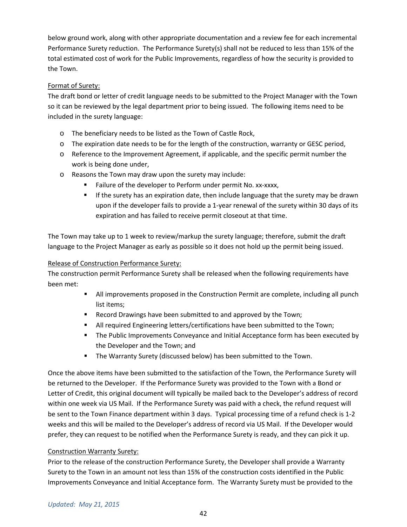below ground work, along with other appropriate documentation and a review fee for each incremental Performance Surety reduction. The Performance Surety(s) shall not be reduced to less than 15% of the total estimated cost of work for the Public Improvements, regardless of how the security is provided to the Town.

## Format of Surety:

The draft bond or letter of credit language needs to be submitted to the Project Manager with the Town so it can be reviewed by the legal department prior to being issued. The following items need to be included in the surety language:

- o The beneficiary needs to be listed as the Town of Castle Rock,
- o The expiration date needs to be for the length of the construction, warranty or GESC period,
- o Reference to the Improvement Agreement, if applicable, and the specific permit number the work is being done under,
- o Reasons the Town may draw upon the surety may include:
	- Failure of the developer to Perform under permit No. xx-xxxx,
	- If the surety has an expiration date, then include language that the surety may be drawn upon if the developer fails to provide a 1-year renewal of the surety within 30 days of its expiration and has failed to receive permit closeout at that time.

The Town may take up to 1 week to review/markup the surety language; therefore, submit the draft language to the Project Manager as early as possible so it does not hold up the permit being issued.

### Release of Construction Performance Surety:

The construction permit Performance Surety shall be released when the following requirements have been met:

- **All improvements proposed in the Construction Permit are complete, including all punch** list items;
- **Record Drawings have been submitted to and approved by the Town;**
- All required Engineering letters/certifications have been submitted to the Town;
- **The Public Improvements Conveyance and Initial Acceptance form has been executed by** the Developer and the Town; and
- **The Warranty Surety (discussed below) has been submitted to the Town.**

Once the above items have been submitted to the satisfaction of the Town, the Performance Surety will be returned to the Developer. If the Performance Surety was provided to the Town with a Bond or Letter of Credit, this original document will typically be mailed back to the Developer's address of record within one week via US Mail. If the Performance Surety was paid with a check, the refund request will be sent to the Town Finance department within 3 days. Typical processing time of a refund check is 1-2 weeks and this will be mailed to the Developer's address of record via US Mail. If the Developer would prefer, they can request to be notified when the Performance Surety is ready, and they can pick it up.

#### Construction Warranty Surety:

Prior to the release of the construction Performance Surety, the Developer shall provide a Warranty Surety to the Town in an amount not less than 15% of the construction costs identified in the Public Improvements Conveyance and Initial Acceptance form. The Warranty Surety must be provided to the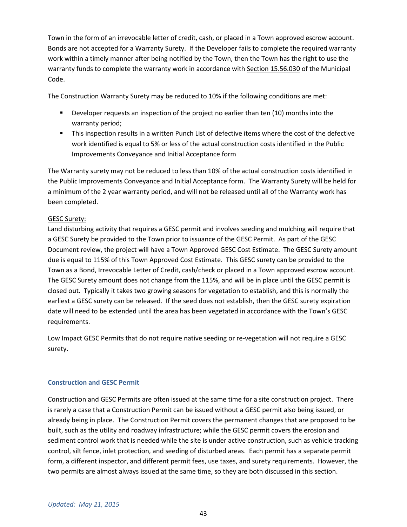Town in the form of an irrevocable letter of credit, cash, or placed in a Town approved escrow account. Bonds are not accepted for a Warranty Surety. If the Developer fails to complete the required warranty work within a timely manner after being notified by the Town, then the Town has the right to use the warranty funds to complete the warranty work in accordance with Section 15.56.030 of the Municipal Code.

The Construction Warranty Surety may be reduced to 10% if the following conditions are met:

- **Permies 1** Developer requests an inspection of the project no earlier than ten (10) months into the warranty period;
- This inspection results in a written Punch List of defective items where the cost of the defective work identified is equal to 5% or less of the actual construction costs identified in the Public Improvements Conveyance and Initial Acceptance form

The Warranty surety may not be reduced to less than 10% of the actual construction costs identified in the Public Improvements Conveyance and Initial Acceptance form. The Warranty Surety will be held for a minimum of the 2 year warranty period, and will not be released until all of the Warranty work has been completed.

#### GESC Surety:

Land disturbing activity that requires a GESC permit and involves seeding and mulching will require that a GESC Surety be provided to the Town prior to issuance of the GESC Permit. As part of the GESC Document review, the project will have a Town Approved GESC Cost Estimate. The GESC Surety amount due is equal to 115% of this Town Approved Cost Estimate. This GESC surety can be provided to the Town as a Bond, Irrevocable Letter of Credit, cash/check or placed in a Town approved escrow account. The GESC Surety amount does not change from the 115%, and will be in place until the GESC permit is closed out. Typically it takes two growing seasons for vegetation to establish, and this is normally the earliest a GESC surety can be released. If the seed does not establish, then the GESC surety expiration date will need to be extended until the area has been vegetated in accordance with the Town's GESC requirements.

Low Impact GESC Permits that do not require native seeding or re-vegetation will not require a GESC surety.

#### **Construction and GESC Permit**

Construction and GESC Permits are often issued at the same time for a site construction project. There is rarely a case that a Construction Permit can be issued without a GESC permit also being issued, or already being in place. The Construction Permit covers the permanent changes that are proposed to be built, such as the utility and roadway infrastructure; while the GESC permit covers the erosion and sediment control work that is needed while the site is under active construction, such as vehicle tracking control, silt fence, inlet protection, and seeding of disturbed areas. Each permit has a separate permit form, a different inspector, and different permit fees, use taxes, and surety requirements. However, the two permits are almost always issued at the same time, so they are both discussed in this section.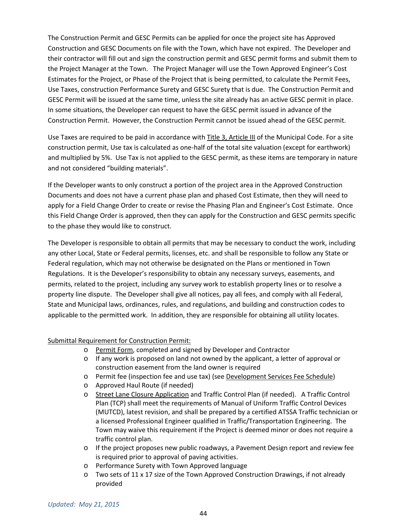The Construction Permit and GESC Permits can be applied for once the project site has Approved Construction and GESC Documents on file with the Town, which have not expired. The Developer and their contractor will fill out and sign the construction permit and GESC permit forms and submit them to the Project Manager at the Town. The Project Manager will use the Town Approved Engineer's Cost Estimates for the Project, or Phase of the Project that is being permitted, to calculate the Permit Fees, Use Taxes, construction Performance Surety and GESC Surety that is due. The Construction Permit and GESC Permit will be issued at the same time, unless the site already has an active GESC permit in place. In some situations, the Developer can request to have the GESC permit issued in advance of the Construction Permit. However, the Construction Permit cannot be issued ahead of the GESC permit.

Use Taxes are required to be paid in accordance with Title 3, Article III of the Municipal Code. For a site construction permit, Use tax is calculated as one-half of the total site valuation (except for earthwork) and multiplied by 5%. Use Tax is not applied to the GESC permit, as these items are temporary in nature and not considered "building materials".

If the Developer wants to only construct a portion of the project area in the Approved Construction Documents and does not have a current phase plan and phased Cost Estimate, then they will need to apply for a Field Change Order to create or revise the Phasing Plan and Engineer's Cost Estimate. Once this Field Change Order is approved, then they can apply for the Construction and GESC permits specific to the phase they would like to construct.

The Developer is responsible to obtain all permits that may be necessary to conduct the work, including any other Local, State or Federal permits, licenses, etc. and shall be responsible to follow any State or Federal regulation, which may not otherwise be designated on the Plans or mentioned in Town Regulations. It is the Developer's responsibility to obtain any necessary surveys, easements, and permits, related to the project, including any survey work to establish property lines or to resolve a property line dispute. The Developer shall give all notices, pay all fees, and comply with all Federal, State and Municipal laws, ordinances, rules, and regulations, and building and construction codes to applicable to the permitted work. In addition, they are responsible for obtaining all utility locates.

#### Submittal Requirement for Construction Permit:

- o Permit Form, completed and signed by Developer and Contractor
- $\circ$  If any work is proposed on land not owned by the applicant, a letter of approval or construction easement from the land owner is required
- o Permit fee (inspection fee and use tax) (see Development Services Fee Schedule)
- o Approved Haul Route (if needed)
- o Street Lane Closure Application and Traffic Control Plan (if needed). A Traffic Control Plan (TCP) shall meet the requirements of Manual of Uniform Traffic Control Devices (MUTCD), latest revision, and shall be prepared by a certified ATSSA Traffic technician or a licensed Professional Engineer qualified in Traffic/Transportation Engineering. The Town may waive this requirement if the Project is deemed minor or does not require a traffic control plan.
- $\circ$  If the project proposes new public roadways, a Pavement Design report and review fee is required prior to approval of paving activities.
- o Performance Surety with Town Approved language
- $\circ$  Two sets of 11 x 17 size of the Town Approved Construction Drawings, if not already provided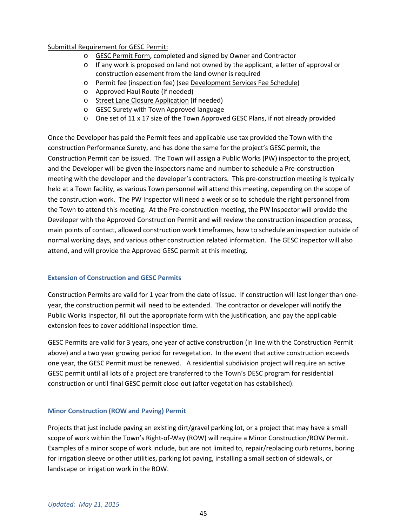#### Submittal Requirement for GESC Permit:

- o GESC Permit Form, completed and signed by Owner and Contractor
- o If any work is proposed on land not owned by the applicant, a letter of approval or construction easement from the land owner is required
- o Permit fee (inspection fee) (see Development Services Fee Schedule)
- o Approved Haul Route (if needed)
- o Street Lane Closure Application (if needed)
- o GESC Surety with Town Approved language
- $\circ$  One set of 11 x 17 size of the Town Approved GESC Plans, if not already provided

Once the Developer has paid the Permit fees and applicable use tax provided the Town with the construction Performance Surety, and has done the same for the project's GESC permit, the Construction Permit can be issued. The Town will assign a Public Works (PW) inspector to the project, and the Developer will be given the inspectors name and number to schedule a Pre-construction meeting with the developer and the developer's contractors. This pre-construction meeting is typically held at a Town facility, as various Town personnel will attend this meeting, depending on the scope of the construction work. The PW Inspector will need a week or so to schedule the right personnel from the Town to attend this meeting. At the Pre-construction meeting, the PW Inspector will provide the Developer with the Approved Construction Permit and will review the construction inspection process, main points of contact, allowed construction work timeframes, how to schedule an inspection outside of normal working days, and various other construction related information. The GESC inspector will also attend, and will provide the Approved GESC permit at this meeting.

#### **Extension of Construction and GESC Permits**

Construction Permits are valid for 1 year from the date of issue. If construction will last longer than oneyear, the construction permit will need to be extended. The contractor or developer will notify the Public Works Inspector, fill out the appropriate form with the justification, and pay the applicable extension fees to cover additional inspection time.

GESC Permits are valid for 3 years, one year of active construction (in line with the Construction Permit above) and a two year growing period for revegetation. In the event that active construction exceeds one year, the GESC Permit must be renewed. A residential subdivision project will require an active GESC permit until all lots of a project are transferred to the Town's DESC program for residential construction or until final GESC permit close-out (after vegetation has established).

#### **Minor Construction (ROW and Paving) Permit**

Projects that just include paving an existing dirt/gravel parking lot, or a project that may have a small scope of work within the Town's Right-of-Way (ROW) will require a Minor Construction/ROW Permit. Examples of a minor scope of work include, but are not limited to, repair/replacing curb returns, boring for irrigation sleeve or other utilities, parking lot paving, installing a small section of sidewalk, or landscape or irrigation work in the ROW.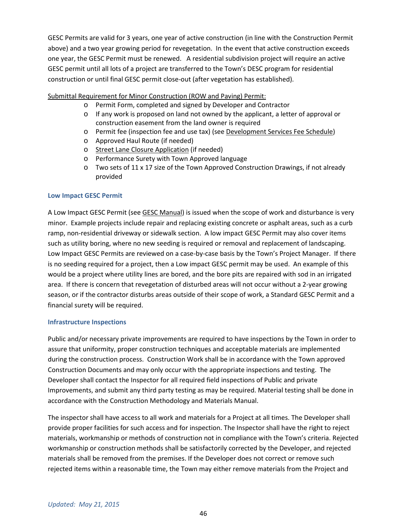GESC Permits are valid for 3 years, one year of active construction (in line with the Construction Permit above) and a two year growing period for revegetation. In the event that active construction exceeds one year, the GESC Permit must be renewed. A residential subdivision project will require an active GESC permit until all lots of a project are transferred to the Town's DESC program for residential construction or until final GESC permit close-out (after vegetation has established).

#### Submittal Requirement for Minor Construction (ROW and Paving) Permit:

- o Permit Form, completed and signed by Developer and Contractor
- $\circ$  If any work is proposed on land not owned by the applicant, a letter of approval or construction easement from the land owner is required
- o Permit fee (inspection fee and use tax) (see Development Services Fee Schedule)
- o Approved Haul Route (if needed)
- o Street Lane Closure Application (if needed)
- o Performance Surety with Town Approved language
- o Two sets of 11 x 17 size of the Town Approved Construction Drawings, if not already provided

#### **Low Impact GESC Permit**

A Low Impact GESC Permit (see GESC Manual) is issued when the scope of work and disturbance is very minor. Example projects include repair and replacing existing concrete or asphalt areas, such as a curb ramp, non-residential driveway or sidewalk section. A low impact GESC Permit may also cover items such as utility boring, where no new seeding is required or removal and replacement of landscaping. Low Impact GESC Permits are reviewed on a case-by-case basis by the Town's Project Manager. If there is no seeding required for a project, then a Low impact GESC permit may be used. An example of this would be a project where utility lines are bored, and the bore pits are repaired with sod in an irrigated area. If there is concern that revegetation of disturbed areas will not occur without a 2-year growing season, or if the contractor disturbs areas outside of their scope of work, a Standard GESC Permit and a financial surety will be required.

#### **Infrastructure Inspections**

Public and/or necessary private improvements are required to have inspections by the Town in order to assure that uniformity, proper construction techniques and acceptable materials are implemented during the construction process. Construction Work shall be in accordance with the Town approved Construction Documents and may only occur with the appropriate inspections and testing. The Developer shall contact the Inspector for all required field inspections of Public and private Improvements, and submit any third party testing as may be required. Material testing shall be done in accordance with the Construction Methodology and Materials Manual.

The inspector shall have access to all work and materials for a Project at all times. The Developer shall provide proper facilities for such access and for inspection. The Inspector shall have the right to reject materials, workmanship or methods of construction not in compliance with the Town's criteria. Rejected workmanship or construction methods shall be satisfactorily corrected by the Developer, and rejected materials shall be removed from the premises. If the Developer does not correct or remove such rejected items within a reasonable time, the Town may either remove materials from the Project and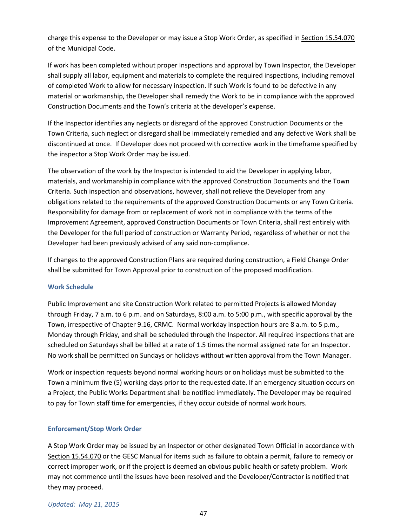charge this expense to the Developer or may issue a Stop Work Order, as specified in Section 15.54.070 of the Municipal Code.

If work has been completed without proper Inspections and approval by Town Inspector, the Developer shall supply all labor, equipment and materials to complete the required inspections, including removal of completed Work to allow for necessary inspection. If such Work is found to be defective in any material or workmanship, the Developer shall remedy the Work to be in compliance with the approved Construction Documents and the Town's criteria at the developer's expense.

If the Inspector identifies any neglects or disregard of the approved Construction Documents or the Town Criteria, such neglect or disregard shall be immediately remedied and any defective Work shall be discontinued at once. If Developer does not proceed with corrective work in the timeframe specified by the inspector a Stop Work Order may be issued.

The observation of the work by the Inspector is intended to aid the Developer in applying labor, materials, and workmanship in compliance with the approved Construction Documents and the Town Criteria. Such inspection and observations, however, shall not relieve the Developer from any obligations related to the requirements of the approved Construction Documents or any Town Criteria. Responsibility for damage from or replacement of work not in compliance with the terms of the Improvement Agreement, approved Construction Documents or Town Criteria, shall rest entirely with the Developer for the full period of construction or Warranty Period, regardless of whether or not the Developer had been previously advised of any said non-compliance.

If changes to the approved Construction Plans are required during construction, a Field Change Order shall be submitted for Town Approval prior to construction of the proposed modification.

#### **Work Schedule**

Public Improvement and site Construction Work related to permitted Projects is allowed Monday through Friday, 7 a.m. to 6 p.m. and on Saturdays, 8:00 a.m. to 5:00 p.m., with specific approval by the Town, irrespective of Chapter 9.16, CRMC. Normal workday inspection hours are 8 a.m. to 5 p.m., Monday through Friday, and shall be scheduled through the Inspector. All required inspections that are scheduled on Saturdays shall be billed at a rate of 1.5 times the normal assigned rate for an Inspector. No work shall be permitted on Sundays or holidays without written approval from the Town Manager.

Work or inspection requests beyond normal working hours or on holidays must be submitted to the Town a minimum five (5) working days prior to the requested date. If an emergency situation occurs on a Project, the Public Works Department shall be notified immediately. The Developer may be required to pay for Town staff time for emergencies, if they occur outside of normal work hours.

#### **Enforcement/Stop Work Order**

A Stop Work Order may be issued by an Inspector or other designated Town Official in accordance with Section 15.54.070 or the GESC Manual for items such as failure to obtain a permit, failure to remedy or correct improper work, or if the project is deemed an obvious public health or safety problem. Work may not commence until the issues have been resolved and the Developer/Contractor is notified that they may proceed.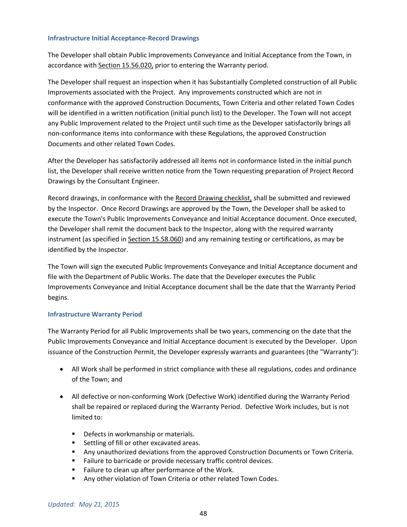#### **Infrastructure Initial Acceptance-Record Drawings**

The Developer shall obtain Public Improvements Conveyance and Initial Acceptance from the Town, in accordance with Section 15.56.020, prior to entering the Warranty period.

The Developer shall request an inspection when it has Substantially Completed construction of all Public Improvements associated with the Project. Any improvements constructed which are not in conformance with the approved Construction Documents, Town Criteria and other related Town Codes will be identified in a written notification (initial punch list) to the Developer. The Town will not accept any Public Improvement related to the Project until such time as the Developer satisfactorily brings all non-conformance items into conformance with these Regulations, the approved Construction Documents and other related Town Codes.

After the Developer has satisfactorily addressed all items not in conformance listed in the initial punch list, the Developer shall receive written notice from the Town requesting preparation of Project Record Drawings by the Consultant Engineer.

Record drawings, in conformance with the Record Drawing checklist, shall be submitted and reviewed by the Inspector. Once Record Drawings are approved by the Town, the Developer shall be asked to execute the Town's Public Improvements Conveyance and Initial Acceptance document. Once executed, the Developer shall remit the document back to the Inspector, along with the required warranty instrument (as specified in Section 15.58.060) and any remaining testing or certifications, as may be identified by the Inspector.

The Town will sign the executed Public Improvements Conveyance and Initial Acceptance document and file with the Department of Public Works. The date that the Developer executes the Public Improvements Conveyance and Initial Acceptance document shall be the date that the Warranty Period begins.

#### **Infrastructure Warranty Period**

The Warranty Period for all Public Improvements shall be two years, commencing on the date that the Public Improvements Conveyance and Initial Acceptance document is executed by the Developer. Upon issuance of the Construction Permit, the Developer expressly warrants and guarantees (the "Warranty"):

- All Work shall be performed in strict compliance with these all regulations, codes and ordinance of the Town; and
- All defective or non-conforming Work (Defective Work) identified during the Warranty Period shall be repaired or replaced during the Warranty Period. Defective Work includes, but is not limited to:
	- Defects in workmanship or materials.
	- Settling of fill or other excavated areas.
	- **Any unauthorized deviations from the approved Construction Documents or Town Criteria.**
	- Failure to barricade or provide necessary traffic control devices.
	- Failure to clean up after performance of the Work.
	- **Any other violation of Town Criteria or other related Town Codes.**